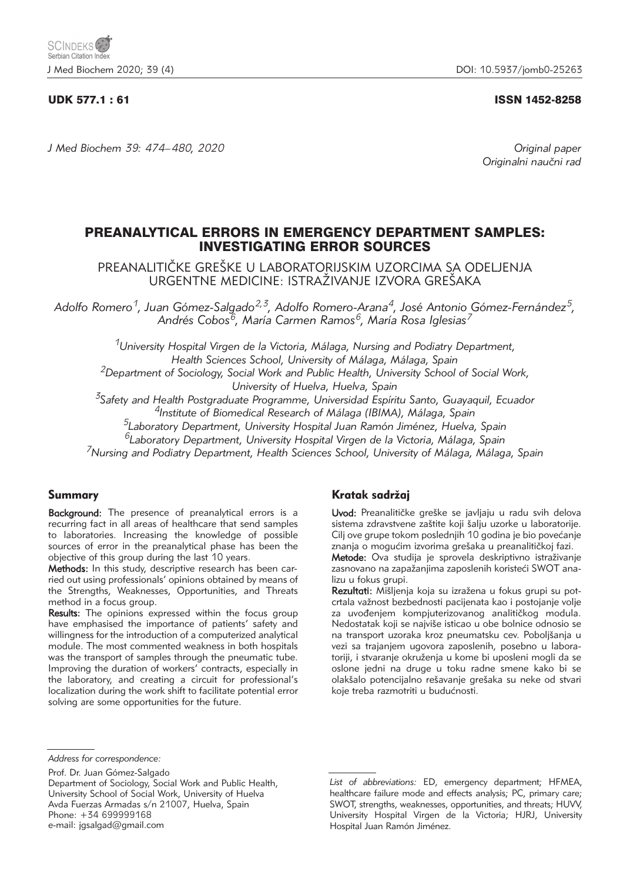## UDK 577.1 : 61 ISSN 1452-8258

*J Med Biochem 39: 474–480, 2020 Original paper*

Originalni naučni rad

# PREANALYTICAL ERRORS IN EMERGENCY DEPARTMENT SAMPLES: INVESTIGATING ERROR SOURCES

PREANALITIČKE GREŠKE U LABORATORIJSKIM UZORCIMA SA ODELJENJA URGENTNE MEDICINE: ISTRAŽIVANJE IZVORA GREŠAKA

*Adolfo Romero1, Juan Gómez-Salgado2,3, Adolfo Romero-Arana4, José Antonio Gómez-Fernández5, Andrés Cobos6, María Carmen Ramos6, María Rosa Iglesias7*

*1University Hospital Virgen de la Victoria, Málaga, Nursing and Podiatry Department, Health Sciences School, University of Málaga, Málaga, Spain 2Department of Sociology, Social Work and Public Health, University School of Social Work, University of Huelva, Huelva, Spain*

*3Safety and Health Postgraduate Programme, Universidad Espíritu Santo, Guayaquil, Ecuador*

*4Institute of Biomedical Research of Málaga (IBIMA), Málaga, Spain*

*5Laboratory Department, University Hospital Juan Ramón Jiménez, Huelva, Spain*

*6Laboratory Department, University Hospital Virgen de la Victoria, Málaga, Spain*

*7Nursing and Podiatry Department, Health Sciences School, University of Málaga, Málaga, Spain*

# Summary

Background: The presence of preanalytical errors is a recurring fact in all areas of healthcare that send samples to laboratories. Increasing the knowledge of possible sources of error in the preanalytical phase has been the objective of this group during the last 10 years.

Methods: In this study, descriptive research has been carried out using professionals' opinions obtained by means of the Strengths, Weaknesses, Opportunities, and Threats method in a focus group.

Results: The opinions expressed within the focus group have emphasised the importance of patients' safety and willingness for the introduction of a computerized analytical module. The most commented weakness in both hospitals was the transport of samples through the pneumatic tube. Improving the duration of workers' contracts, especially in the laboratory, and creating a circuit for professional's localization during the work shift to facilitate potential error solving are some opportunities for the future.

# Kratak sadržaj

Uvod: Preanalitičke greške se javljaju u radu svih delova sistema zdravstvene zaštite koji šalju uzorke u laboratorije. Cilj ove grupe tokom poslednjih 10 godina je bio povećanje znanja o mogućim izvorima grešaka u preanalitičkoj fazi.

Metode: Ova studija je sprovela deskriptivno istraživanje zasnovano na zapažanjima zaposlenih koristeći SWOT analizu u fokus grupi.

Rezultati: Mišljenja koja su izražena u fokus grupi su potcrtala važnost bezbednosti pacijenata kao i postojanje volje za uvođenjem kompjuterizovanog analitičkog modula. Nedostatak koji se najviše isticao u obe bolnice odnosio se na transport uzoraka kroz pneumatsku cev. Poboljšanja u vezi sa trajanjem ugovora zaposlenih, posebno u laboratoriji, i stvaranje okruženja u kome bi uposleni mogli da se oslone jedni na druge u toku radne smene kako bi se olakšalo potencijalno rešavanje grešaka su neke od stvari koje treba razmotriti u budućnosti.

Prof. Dr. Juan Gómez-Salgado

*Address for correspondence:*

Department of Sociology, Social Work and Public Health, University School of Social Work, University of Huelva Avda Fuerzas Armadas s/n 21007, Huelva, Spain Phone: +34 699999168 e-mail: jgsalgad@gmail.com

*List of abbreviations:* ED, emergency department; HFMEA, healthcare failure mode and effects analysis; PC, primary care; SWOT, strengths, weaknesses, opportunities, and threats; HUVV, University Hospital Virgen de la Victoria; HJRJ, University Hospital Juan Ramón Jiménez.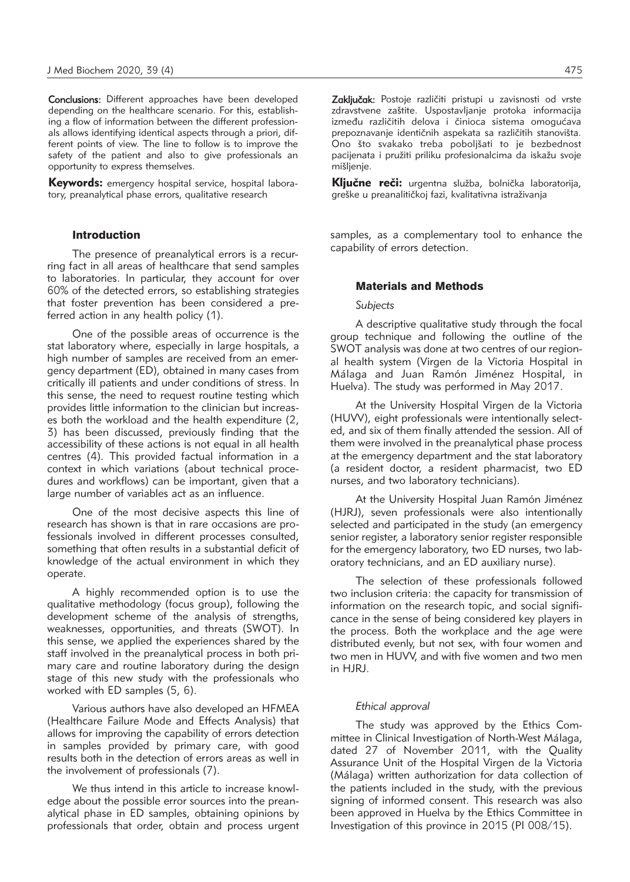Conclusions: Different approaches have been developed depending on the healthcare scenario. For this, establishing a flow of information between the different professionals allows identifying identical aspects through a priori, different points of view. The line to follow is to improve the safety of the patient and also to give professionals an opportunity to express themselves.

Keywords: emergency hospital service, hospital laboratory, preanalytical phase errors, qualitative research

#### Introduction

The presence of preanalytical errors is a recurring fact in all areas of healthcare that send samples to laboratories. In particular, they account for over 60% of the detected errors, so establishing strategies that foster prevention has been considered a preferred action in any health policy (1).

One of the possible areas of occurrence is the stat laboratory where, especially in large hospitals, a high number of samples are received from an emergency department (ED), obtained in many cases from critically ill patients and under conditions of stress. In this sense, the need to request routine testing which provides little information to the clinician but increases both the workload and the health expenditure (2, 3) has been discussed, previously finding that the accessibility of these actions is not equal in all health centres (4). This provided factual information in a context in which variations (about technical procedures and workflows) can be important, given that a large number of variables act as an influence.

One of the most decisive aspects this line of research has shown is that in rare occasions are professionals involved in different processes consulted, something that often results in a substantial deficit of knowledge of the actual environment in which they operate.

A highly recommended option is to use the qualitative methodology (focus group), following the development scheme of the analysis of strengths, weaknesses, opportunities, and threats (SWOT). In this sense, we applied the experiences shared by the staff involved in the preanalytical process in both primary care and routine laboratory during the design stage of this new study with the professionals who worked with ED samples (5, 6).

Various authors have also developed an HFMEA (Healthcare Failure Mode and Effects Analysis) that allows for improving the capability of errors detection in samples provided by primary care, with good results both in the detection of errors areas as well in the involvement of professionals (7).

We thus intend in this article to increase knowledge about the possible error sources into the preanalytical phase in ED samples, obtaining opinions by professionals that order, obtain and process urgent

Zaključak: Postoje različiti pristupi u zavisnosti od vrste zdravstvene zaštite. Uspostavljanje protoka informacija između različitih delova i činioca sistema omogućava prepoznavanje identičnih aspekata sa različitih stanovišta. Ono što svakako treba poboljšati to je bezbednost pacijenata i pružiti priliku profesionalcima da iskažu svoje mišljenje.

Ključne reči: urgentna služba, bolnička laboratorija, greške u preanalitičkoj fazi, kvalitativna istraživanja

samples, as a complementary tool to enhance the capability of errors detection.

## Materials and Methods

#### *Subjects*

A descriptive qualitative study through the focal group technique and following the outline of the SWOT analysis was done at two centres of our regional health system (Virgen de la Victoria Hospital in Málaga and Juan Ramón Jiménez Hospital, in Huelva). The study was performed in May 2017.

At the University Hospital Virgen de la Victoria (HUVV), eight professionals were intentionally selected, and six of them finally attended the session. All of them were involved in the preanalytical phase process at the emergency department and the stat laboratory (a resident doctor, a resident pharmacist, two ED nurses, and two laboratory technicians).

At the University Hospital Juan Ramón Jiménez (HJRJ), seven professionals were also intentionally selected and participated in the study (an emergency senior register, a laboratory senior register responsible for the emergency laboratory, two ED nurses, two laboratory technicians, and an ED auxiliary nurse).

The selection of these professionals followed two inclusion criteria: the capacity for transmission of information on the research topic, and social significance in the sense of being considered key players in the process. Both the workplace and the age were distributed evenly, but not sex, with four women and two men in HUVV, and with five women and two men in HJRJ.

#### *Ethical approval*

The study was approved by the Ethics Committee in Clinical Investigation of North-West Málaga, dated 27 of November 2011, with the Quality Assurance Unit of the Hospital Virgen de la Victoria (Málaga) written authorization for data collection of the patients included in the study, with the previous signing of informed consent. This research was also been approved in Huelva by the Ethics Committee in Investigation of this province in 2015 (PI 008/15).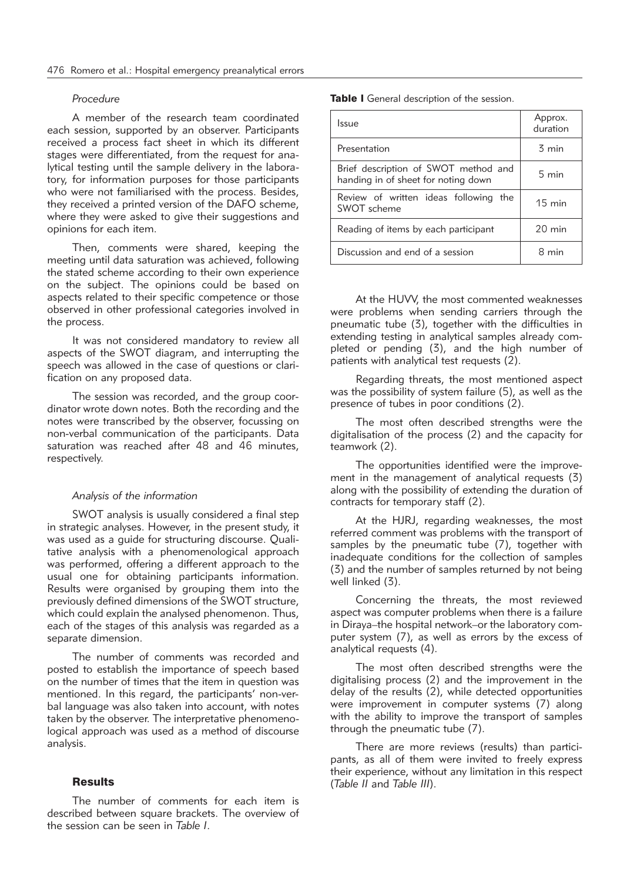### *Procedure*

A member of the research team coordinated each session, supported by an observer. Participants received a process fact sheet in which its different stages were differentiated, from the request for analytical testing until the sample delivery in the laboratory, for information purposes for those participants who were not familiarised with the process. Besides, they received a printed version of the DAFO scheme, where they were asked to give their suggestions and opinions for each item.

Then, comments were shared, keeping the meeting until data saturation was achieved, following the stated scheme according to their own experience on the subject. The opinions could be based on aspects related to their specific competence or those observed in other professional categories involved in the process.

It was not considered mandatory to review all aspects of the SWOT diagram, and interrupting the speech was allowed in the case of questions or clarification on any proposed data.

The session was recorded, and the group coordinator wrote down notes. Both the recording and the notes were transcribed by the observer, focussing on non-verbal communication of the participants. Data saturation was reached after 48 and 46 minutes. respectively.

### *Analysis of the information*

SWOT analysis is usually considered a final step in strategic analyses. However, in the present study, it was used as a quide for structuring discourse. Qualitative analysis with a phenomenological approach was performed, offering a different approach to the usual one for obtaining participants information. Results were organised by grouping them into the previously defined dimensions of the SWOT structure, which could explain the analysed phenomenon. Thus, each of the stages of this analysis was regarded as a separate dimension.

The number of comments was recorded and posted to establish the importance of speech based on the number of times that the item in question was mentioned. In this regard, the participants' non-verbal language was also taken into account, with notes taken by the observer. The interpretative phenomenological approach was used as a method of discourse analysis.

# **Results**

The number of comments for each item is described between square brackets. The overview of the session can be seen in *Table I*.

Table I General description of the session.

| <b>Issue</b>                                                                | Approx.<br>duration |
|-----------------------------------------------------------------------------|---------------------|
| Presentation                                                                | $\overline{5}$ min  |
| Brief description of SWOT method and<br>handing in of sheet for noting down | $5 \text{ min}$     |
| Review of written ideas following the<br>SWOT scheme                        | $15 \text{ min}$    |
| Reading of items by each participant                                        | $20 \text{ min}$    |
| Discussion and end of a session                                             | min                 |

At the HUVV, the most commented weaknesses were problems when sending carriers through the pneumatic tube (3), together with the difficulties in extending testing in analytical samples already completed or pending (3), and the high number of patients with analytical test requests (2).

Regarding threats, the most mentioned aspect was the possibility of system failure (5), as well as the presence of tubes in poor conditions (2).

The most often described strengths were the digitalisation of the process (2) and the capacity for teamwork (2).

The opportunities identified were the improvement in the management of analytical requests (3) along with the possibility of extending the duration of contracts for temporary staff (2).

At the HJRJ, regarding weaknesses, the most referred comment was problems with the transport of samples by the pneumatic tube (7), together with inadequate conditions for the collection of samples (3) and the number of samples returned by not being well linked (3).

Concerning the threats, the most reviewed aspect was computer problems when there is a failure in Diraya–the hospital network –or the laboratory computer system (7), as well as errors by the excess of analytical requests (4).

The most often described strengths were the digitalising process (2) and the improvement in the delay of the results (2), while detected opportunities were improvement in computer systems (7) along with the ability to improve the transport of samples through the pneumatic tube (7).

There are more reviews (results) than participants, as all of them were invited to freely express their experience, without any limitation in this respect (*Table II* and *Table III*).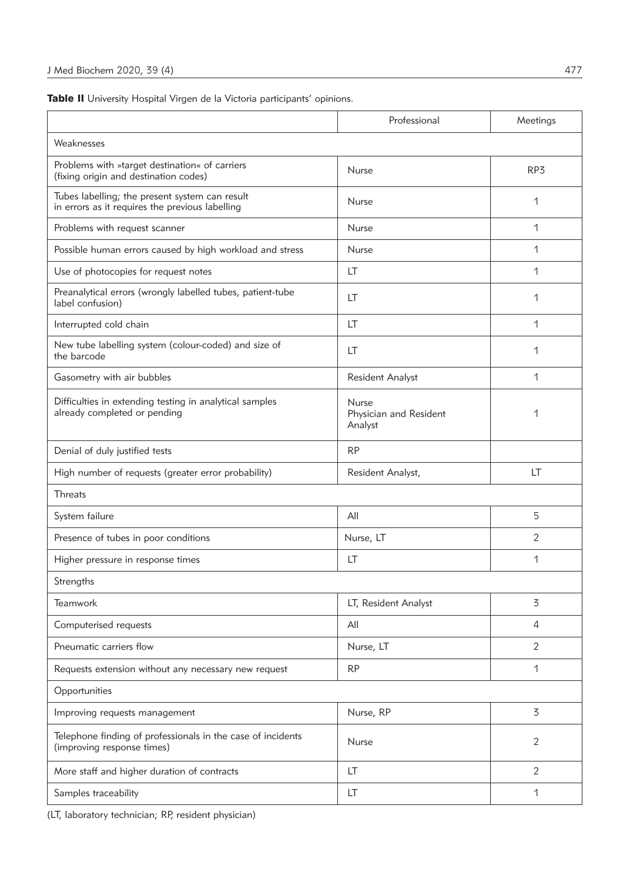Table II University Hospital Virgen de la Victoria participants' opinions.

|                                                                                                   | Professional                               | Meetings       |  |  |  |  |
|---------------------------------------------------------------------------------------------------|--------------------------------------------|----------------|--|--|--|--|
| Weaknesses                                                                                        |                                            |                |  |  |  |  |
| Problems with »target destination« of carriers<br>(fixing origin and destination codes)           | <b>Nurse</b>                               | RP3            |  |  |  |  |
| Tubes labelling; the present system can result<br>in errors as it requires the previous labelling | <b>Nurse</b>                               | 1              |  |  |  |  |
| Problems with request scanner                                                                     | <b>Nurse</b>                               | 1              |  |  |  |  |
| Possible human errors caused by high workload and stress                                          | <b>Nurse</b>                               | 1              |  |  |  |  |
| Use of photocopies for request notes                                                              | LT                                         | 1              |  |  |  |  |
| Preanalytical errors (wrongly labelled tubes, patient-tube<br>label confusion)                    | LT                                         | 1              |  |  |  |  |
| Interrupted cold chain                                                                            | LT                                         | 1              |  |  |  |  |
| New tube labelling system (colour-coded) and size of<br>the barcode                               | LT                                         | 1              |  |  |  |  |
| Gasometry with air bubbles                                                                        | <b>Resident Analyst</b>                    | 1              |  |  |  |  |
| Difficulties in extending testing in analytical samples<br>already completed or pending           | Nurse<br>Physician and Resident<br>Analyst | 1              |  |  |  |  |
| Denial of duly justified tests                                                                    | <b>RP</b>                                  |                |  |  |  |  |
| High number of requests (greater error probability)                                               | Resident Analyst,                          | LT             |  |  |  |  |
| <b>Threats</b>                                                                                    |                                            |                |  |  |  |  |
| System failure                                                                                    | All                                        | 5              |  |  |  |  |
| Presence of tubes in poor conditions                                                              | Nurse, LT                                  | $\overline{2}$ |  |  |  |  |
| Higher pressure in response times                                                                 | LT                                         | 1              |  |  |  |  |
| Strengths                                                                                         |                                            |                |  |  |  |  |
| Teamwork                                                                                          | LT, Resident Analyst                       | 3              |  |  |  |  |
| Computerised requests                                                                             | All                                        | $\overline{4}$ |  |  |  |  |
| Pneumatic carriers flow                                                                           | Nurse, LT                                  | 2              |  |  |  |  |
| Requests extension without any necessary new request                                              | <b>RP</b>                                  | 1              |  |  |  |  |
| Opportunities                                                                                     |                                            |                |  |  |  |  |
| Improving requests management                                                                     | Nurse, RP                                  | 3              |  |  |  |  |
| Telephone finding of professionals in the case of incidents<br>(improving response times)         | Nurse                                      | 2              |  |  |  |  |
| More staff and higher duration of contracts                                                       | LT                                         | 2              |  |  |  |  |
| Samples traceability                                                                              | LT                                         | 1              |  |  |  |  |

(LT, laboratory technician; RP, resident physician)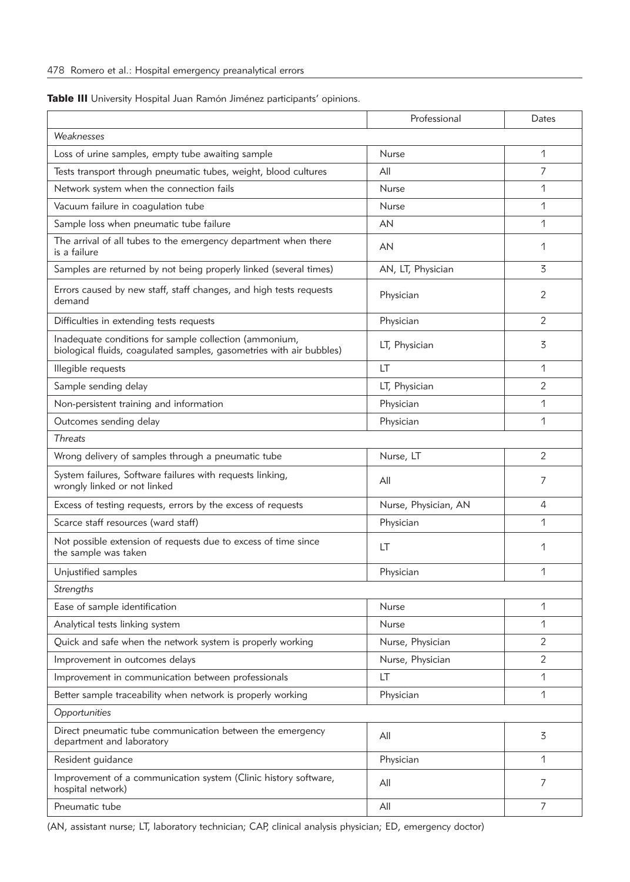|  |  | Table III University Hospital Juan Ramón Jiménez participants' opinions. |  |  |  |  |
|--|--|--------------------------------------------------------------------------|--|--|--|--|
|--|--|--------------------------------------------------------------------------|--|--|--|--|

|                                                                                                                                                 | Professional         | Dates          |  |  |  |  |
|-------------------------------------------------------------------------------------------------------------------------------------------------|----------------------|----------------|--|--|--|--|
| Weaknesses                                                                                                                                      |                      |                |  |  |  |  |
| Loss of urine samples, empty tube awaiting sample                                                                                               | <b>Nurse</b>         | 1              |  |  |  |  |
| Tests transport through pneumatic tubes, weight, blood cultures                                                                                 | All                  | 7              |  |  |  |  |
| Network system when the connection fails                                                                                                        | <b>Nurse</b>         | 1              |  |  |  |  |
| Vacuum failure in coagulation tube                                                                                                              | <b>Nurse</b>         | 1              |  |  |  |  |
| Sample loss when pneumatic tube failure                                                                                                         | AN                   | 1              |  |  |  |  |
| The arrival of all tubes to the emergency department when there<br>is a failure                                                                 | AN                   | 1              |  |  |  |  |
| Samples are returned by not being properly linked (several times)                                                                               | AN, LT, Physician    | 3              |  |  |  |  |
| Errors caused by new staff, staff changes, and high tests requests<br>demand                                                                    | Physician            | $\overline{2}$ |  |  |  |  |
| Difficulties in extending tests requests                                                                                                        | Physician            | $\overline{2}$ |  |  |  |  |
| Inadequate conditions for sample collection (ammonium,<br>LT, Physician<br>biological fluids, coagulated samples, gasometries with air bubbles) |                      | 3              |  |  |  |  |
| Illegible requests                                                                                                                              | LT                   | 1              |  |  |  |  |
| Sample sending delay                                                                                                                            | LT, Physician        | $\overline{c}$ |  |  |  |  |
| Non-persistent training and information                                                                                                         | Physician            | 1              |  |  |  |  |
| Outcomes sending delay                                                                                                                          | Physician            | 1              |  |  |  |  |
| <b>Threats</b>                                                                                                                                  |                      |                |  |  |  |  |
| Wrong delivery of samples through a pneumatic tube                                                                                              | Nurse, LT            | $\overline{2}$ |  |  |  |  |
| System failures, Software failures with requests linking,<br>wrongly linked or not linked                                                       | All                  | 7              |  |  |  |  |
| Excess of testing requests, errors by the excess of requests                                                                                    | Nurse, Physician, AN | 4              |  |  |  |  |
| Scarce staff resources (ward staff)                                                                                                             | Physician            | 1              |  |  |  |  |
| Not possible extension of requests due to excess of time since<br>the sample was taken                                                          | LT                   | 1              |  |  |  |  |
| Unjustified samples                                                                                                                             | Physician            | 1              |  |  |  |  |
| Strengths                                                                                                                                       |                      |                |  |  |  |  |
| Ease of sample identification                                                                                                                   | Nurse                | 1              |  |  |  |  |
| Analytical tests linking system                                                                                                                 | Nurse                | 1              |  |  |  |  |
| Quick and safe when the network system is properly working                                                                                      | Nurse, Physician     | $\overline{2}$ |  |  |  |  |
| Improvement in outcomes delays                                                                                                                  | Nurse, Physician     | $\overline{2}$ |  |  |  |  |
| Improvement in communication between professionals                                                                                              | LT                   | 1              |  |  |  |  |
| Better sample traceability when network is properly working                                                                                     | Physician            | 1              |  |  |  |  |
| Opportunities                                                                                                                                   |                      |                |  |  |  |  |
| Direct pneumatic tube communication between the emergency<br>department and laboratory                                                          | All                  | 3              |  |  |  |  |
| Resident guidance                                                                                                                               | Physician            | 1              |  |  |  |  |
| Improvement of a communication system (Clinic history software,<br>hospital network)                                                            | All                  | 7              |  |  |  |  |
| Pneumatic tube                                                                                                                                  | All                  | 7              |  |  |  |  |

(AN, assistant nurse; LT, laboratory technician; CAP, clinical analysis physician; ED, emergency doctor)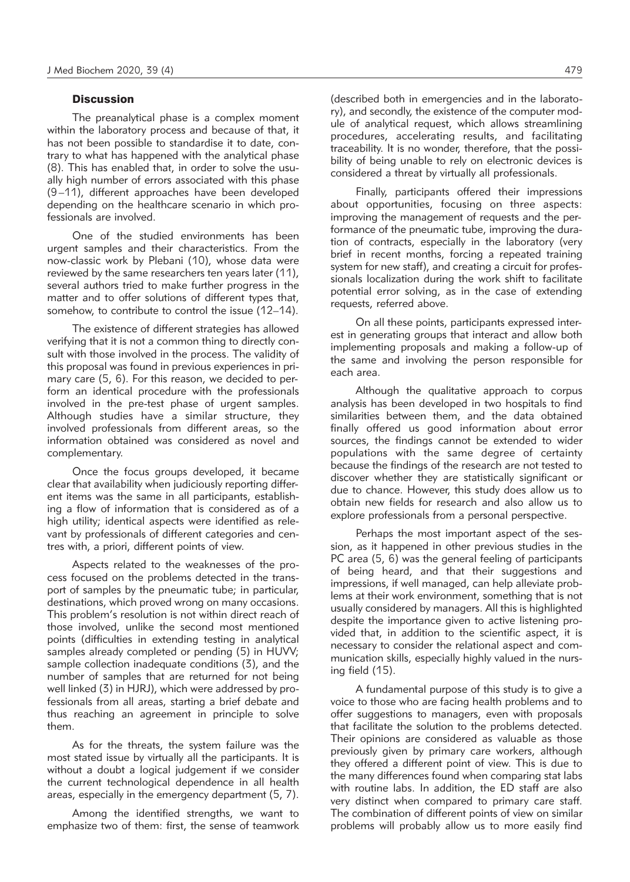# **Discussion**

The preanalytical phase is a complex moment within the laboratory process and because of that, it has not been possible to standardise it to date, contrary to what has happened with the analytical phase (8). This has enabled that, in order to solve the usually high number of errors associated with this phase (9–11), different approaches have been developed depending on the healthcare scenario in which professionals are involved.

One of the studied environments has been urgent samples and their characteristics. From the now-classic work by Plebani (10), whose data were reviewed by the same researchers ten years later (11), several authors tried to make further progress in the matter and to offer solutions of different types that, somehow, to contribute to control the issue (12–14).

The existence of different strategies has allowed verifying that it is not a common thing to directly consult with those involved in the process. The validity of this proposal was found in previous experiences in primary care (5, 6). For this reason, we decided to perform an identical procedure with the professionals involved in the pre-test phase of urgent samples. Although studies have a similar structure, they involved professionals from different areas, so the information obtained was considered as novel and complementary.

Once the focus groups developed, it became clear that availability when judiciously reporting different items was the same in all participants, establishing a flow of information that is considered as of a high utility; identical aspects were identified as relevant by professionals of different categories and centres with, a priori, different points of view.

Aspects related to the weaknesses of the process focused on the problems detected in the transport of samples by the pneumatic tube; in particular, destinations, which proved wrong on many occasions. This problem's resolution is not within direct reach of those involved, unlike the second most mentioned points (difficulties in extending testing in analytical samples already completed or pending (5) in HUVV; sample collection inadequate conditions (3), and the number of samples that are returned for not being well linked (3) in HJRJ), which were addressed by professionals from all areas, starting a brief debate and thus reaching an agreement in principle to solve them.

As for the threats, the system failure was the most stated issue by virtually all the participants. It is without a doubt a logical judgement if we consider the current technological dependence in all health areas, especially in the emergency department (5, 7).

Among the identified strengths, we want to emphasize two of them: first, the sense of teamwork (described both in emergencies and in the laboratory), and secondly, the existence of the computer module of analytical request, which allows streamlining procedures, accelerating results, and facilitating traceability. It is no wonder, therefore, that the possibility of being unable to rely on electronic devices is considered a threat by virtually all professionals.

Finally, participants offered their impressions about opportunities, focusing on three aspects: improving the management of requests and the performance of the pneumatic tube, improving the duration of contracts, especially in the laboratory (very brief in recent months, forcing a repeated training system for new staff), and creating a circuit for professionals localization during the work shift to facilitate potential error solving, as in the case of extending requests, referred above.

On all these points, participants expressed interest in generating groups that interact and allow both implementing proposals and making a follow-up of the same and involving the person responsible for each area.

Although the qualitative approach to corpus analysis has been developed in two hospitals to find similarities between them, and the data obtained finally offered us good information about error sources, the findings cannot be extended to wider populations with the same degree of certainty because the findings of the research are not tested to discover whether they are statistically significant or due to chance. However, this study does allow us to obtain new fields for research and also allow us to explore professionals from a personal perspective.

Perhaps the most important aspect of the session, as it happened in other previous studies in the PC area (5, 6) was the general feeling of participants of being heard, and that their suggestions and impressions, if well managed, can help alleviate problems at their work environment, something that is not usually considered by managers. All this is highlighted despite the importance given to active listening provided that, in addition to the scientific aspect, it is necessary to consider the relational aspect and communication skills, especially highly valued in the nursing field (15).

A fundamental purpose of this study is to give a voice to those who are facing health problems and to offer suggestions to managers, even with proposals that facilitate the solution to the problems detected. Their opinions are considered as valuable as those previously given by primary care workers, although they offered a different point of view. This is due to the many differences found when comparing stat labs with routine labs. In addition, the ED staff are also very distinct when compared to primary care staff. The combination of different points of view on similar problems will probably allow us to more easily find